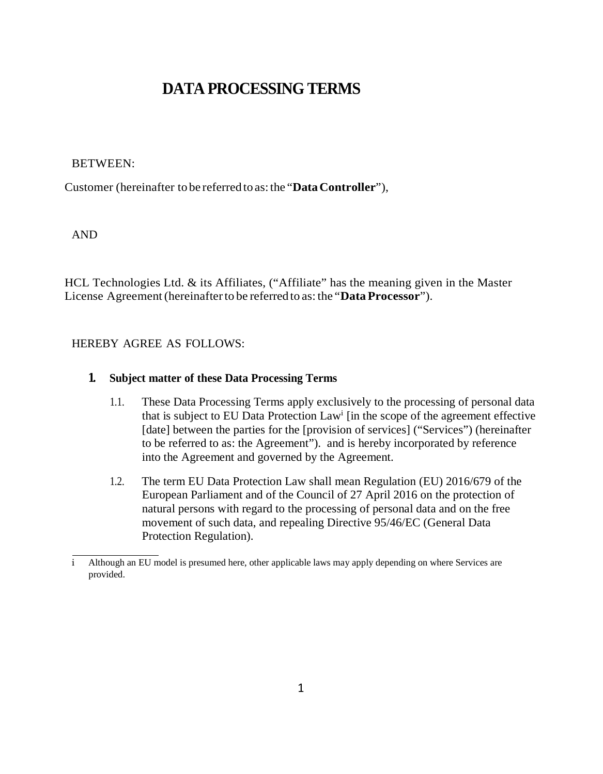# **DATA PROCESSING TERMS**

### BETWEEN:

Customer (hereinafter to be referred to as:the "**DataController**"),

AND

HCL Technologies Ltd.  $\&$  its Affiliates, ("Affiliate" has the meaning given in the Master License Agreement(hereinafterto be referred to as: the "**Data Processor**").

## HEREBY AGREE AS FOLLOWS:

## **1. Subject matter of these Data Processing Terms**

- 1.1. These Data Processing Terms apply exclusively to the processing of personal data that is subject to EU Data Protection Lawi [in the scope of the agreement effective [date] between the parties for the [provision of services] ("Services") (hereinafter to be referred to as: the Agreement"). and is hereby incorporated by reference into the Agreement and governed by the Agreement.
- 1.2. The term EU Data Protection Law shall mean Regulation (EU) 2016/679 of the European Parliament and of the Council of 27 April 2016 on the protection of natural persons with regard to the processing of personal data and on the free movement of such data, and repealing Directive 95/46/EC (General Data Protection Regulation).

i Although an EU model is presumed here, other applicable laws may apply depending on where Services are provided.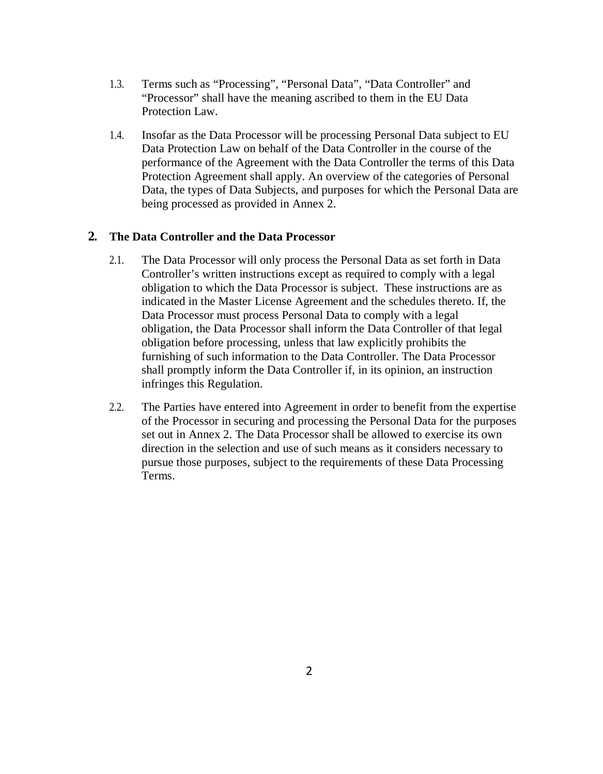- 1.3. Terms such as "Processing", "Personal Data", "Data Controller" and "Processor" shall have the meaning ascribed to them in the EU Data Protection Law.
- 1.4. Insofar as the Data Processor will be processing Personal Data subject to EU Data Protection Law on behalf of the Data Controller in the course of the performance of the Agreement with the Data Controller the terms of this Data Protection Agreement shall apply. An overview of the categories of Personal Data, the types of Data Subjects, and purposes for which the Personal Data are being processed as provided in Annex 2.

## **2. The Data Controller and the Data Processor**

- 2.1. The Data Processor will only process the Personal Data as set forth in Data Controller's written instructions except as required to comply with a legal obligation to which the Data Processor is subject. These instructions are as indicated in the Master License Agreement and the schedules thereto. If, the Data Processor must process Personal Data to comply with a legal obligation, the Data Processor shall inform the Data Controller of that legal obligation before processing, unless that law explicitly prohibits the furnishing of such information to the Data Controller. The Data Processor shall promptly inform the Data Controller if, in its opinion, an instruction infringes this Regulation.
- 2.2. The Parties have entered into Agreement in order to benefit from the expertise of the Processor in securing and processing the Personal Data for the purposes set out in Annex 2. The Data Processor shall be allowed to exercise its own direction in the selection and use of such means as it considers necessary to pursue those purposes, subject to the requirements of these Data Processing Terms.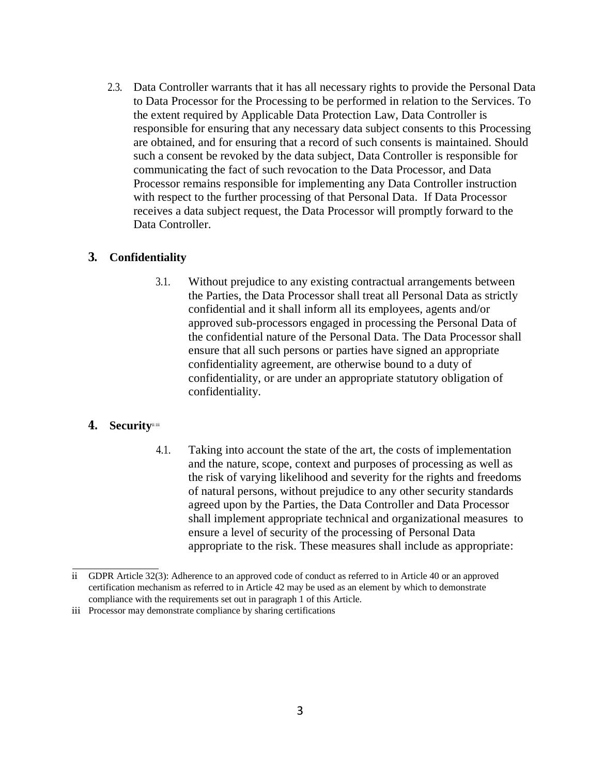2.3. Data Controller warrants that it has all necessary rights to provide the Personal Data to Data Processor for the Processing to be performed in relation to the Services. To the extent required by Applicable Data Protection Law, Data Controller is responsible for ensuring that any necessary data subject consents to this Processing are obtained, and for ensuring that a record of such consents is maintained. Should such a consent be revoked by the data subject, Data Controller is responsible for communicating the fact of such revocation to the Data Processor, and Data Processor remains responsible for implementing any Data Controller instruction with respect to the further processing of that Personal Data. If Data Processor receives a data subject request, the Data Processor will promptly forward to the Data Controller.

## **3. Confidentiality**

3.1. Without prejudice to any existing contractual arrangements between the Parties, the Data Processor shall treat all Personal Data as strictly confidential and it shall inform all its employees, agents and/or approved sub-processors engaged in processing the Personal Data of the confidential nature of the Personal Data. The Data Processor shall ensure that all such persons or parties have signed an appropriate confidentiality agreement, are otherwise bound to a duty of confidentiality, or are under an appropriate statutory obligation of confidentiality.

## 4. **Security**<sup>iii</sup>

4.1. Taking into account the state of the art, the costs of implementation and the nature, scope, context and purposes of processing as well as the risk of varying likelihood and severity for the rights and freedoms of natural persons, without prejudice to any other security standards agreed upon by the Parties, the Data Controller and Data Processor shall implement appropriate technical and organizational measures to ensure a level of security of the processing of Personal Data appropriate to the risk. These measures shall include as appropriate:

ii GDPR Article 32(3): Adherence to an approved code of conduct as referred to in Article 40 or an approved certification mechanism as referred to in Article 42 may be used as an element by which to demonstrate compliance with the requirements set out in paragraph 1 of this Article.

iii Processor may demonstrate compliance by sharing certifications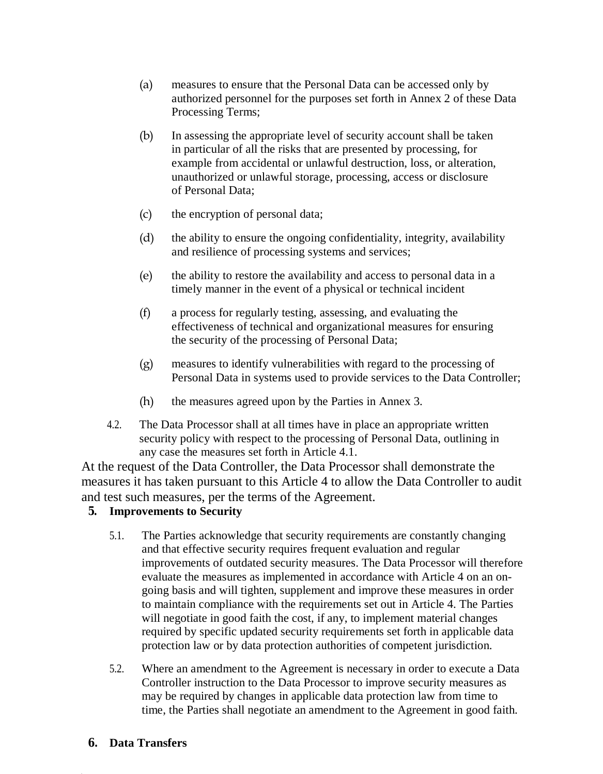- (a) measures to ensure that the Personal Data can be accessed only by authorized personnel for the purposes set forth in Annex 2 of these Data Processing Terms;
- (b) In assessing the appropriate level of security account shall be taken in particular of all the risks that are presented by processing, for example from accidental or unlawful destruction, loss, or alteration, unauthorized or unlawful storage, processing, access or disclosure of Personal Data;
- (c) the encryption of personal data;
- (d) the ability to ensure the ongoing confidentiality, integrity, availability and resilience of processing systems and services;
- (e) the ability to restore the availability and access to personal data in a timely manner in the event of a physical or technical incident
- (f) a process for regularly testing, assessing, and evaluating the effectiveness of technical and organizational measures for ensuring the security of the processing of Personal Data;
- (g) measures to identify vulnerabilities with regard to the processing of Personal Data in systems used to provide services to the Data Controller;
- (h) the measures agreed upon by the Parties in Annex 3.
- 4.2. The Data Processor shall at all times have in place an appropriate written security policy with respect to the processing of Personal Data, outlining in any case the measures set forth in Article 4.1.

At the request of the Data Controller, the Data Processor shall demonstrate the measures it has taken pursuant to this Article 4 to allow the Data Controller to audit and test such measures, per the terms of the Agreement.

## **5. Improvements to Security**

- 5.1. The Parties acknowledge that security requirements are constantly changing and that effective security requires frequent evaluation and regular improvements of outdated security measures. The Data Processor will therefore evaluate the measures as implemented in accordance with Article 4 on an ongoing basis and will tighten, supplement and improve these measures in order to maintain compliance with the requirements set out in Article 4. The Parties will negotiate in good faith the cost, if any, to implement material changes required by specific updated security requirements set forth in applicable data protection law or by data protection authorities of competent jurisdiction.
- 5.2. Where an amendment to the Agreement is necessary in order to execute a Data Controller instruction to the Data Processor to improve security measures as may be required by changes in applicable data protection law from time to time, the Parties shall negotiate an amendment to the Agreement in good faith.
- **6. Data Transfers**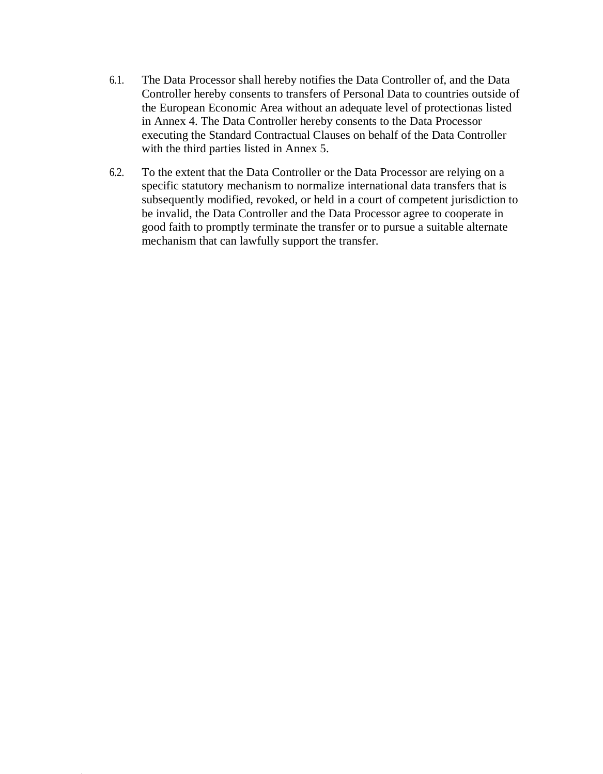- 6.1. The Data Processor shall hereby notifies the Data Controller of, and the Data Controller hereby consents to transfers of Personal Data to countries outside of the European Economic Area without an adequate level of protectionas listed in Annex 4. The Data Controller hereby consents to the Data Processor executing the Standard Contractual Clauses on behalf of the Data Controller with the third parties listed in Annex 5.
- 6.2. To the extent that the Data Controller or the Data Processor are relying on a specific statutory mechanism to normalize international data transfers that is subsequently modified, revoked, or held in a court of competent jurisdiction to be invalid, the Data Controller and the Data Processor agree to cooperate in good faith to promptly terminate the transfer or to pursue a suitable alternate mechanism that can lawfully support the transfer.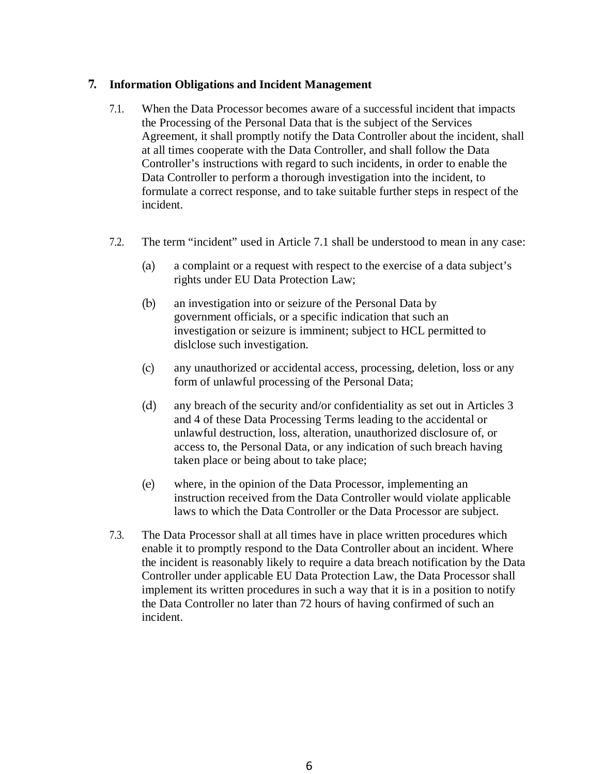## **7. Information Obligations and Incident Management**

- 7.1. When the Data Processor becomes aware of a successful incident that impacts the Processing of the Personal Data that is the subject of the Services Agreement, it shall promptly notify the Data Controller about the incident, shall at all times cooperate with the Data Controller, and shall follow the Data Controller's instructions with regard to such incidents, in order to enable the Data Controller to perform a thorough investigation into the incident, to formulate a correct response, and to take suitable further steps in respect of the incident.
- 7.2. The term "incident" used in Article 7.1 shall be understood to mean in any case:
	- (a) a complaint or a request with respect to the exercise of a data subject's rights under EU Data Protection Law;
	- (b) an investigation into or seizure of the Personal Data by government officials, or a specific indication that such an investigation or seizure is imminent; subject to HCL permitted to dislclose such investigation.
	- (c) any unauthorized or accidental access, processing, deletion, loss or any form of unlawful processing of the Personal Data;
	- (d) any breach of the security and/or confidentiality as set out in Articles 3 and 4 of these Data Processing Terms leading to the accidental or unlawful destruction, loss, alteration, unauthorized disclosure of, or access to, the Personal Data, or any indication of such breach having taken place or being about to take place;
	- (e) where, in the opinion of the Data Processor, implementing an instruction received from the Data Controller would violate applicable laws to which the Data Controller or the Data Processor are subject.
- 7.3. The Data Processor shall at all times have in place written procedures which enable it to promptly respond to the Data Controller about an incident. Where the incident is reasonably likely to require a data breach notification by the Data Controller under applicable EU Data Protection Law, the Data Processor shall implement its written procedures in such a way that it is in a position to notify the Data Controller no later than 72 hours of having confirmed of such an incident.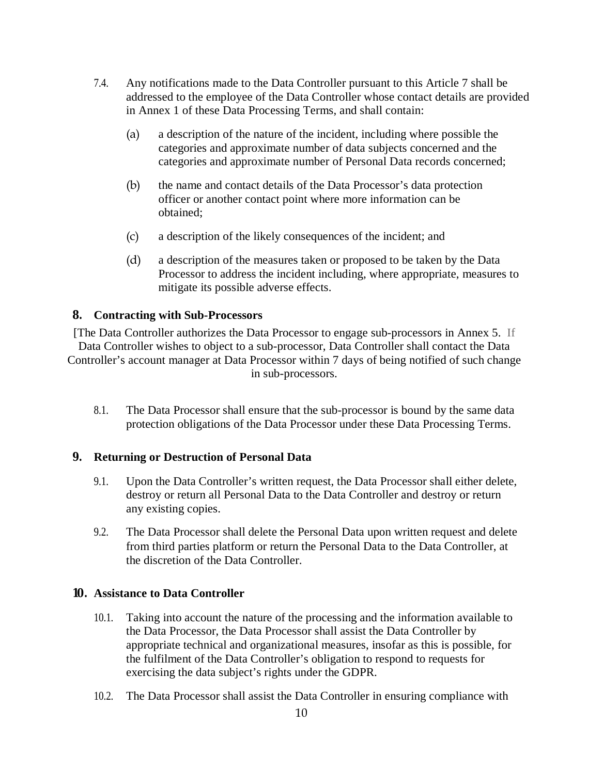- 7.4. Any notifications made to the Data Controller pursuant to this Article 7 shall be addressed to the employee of the Data Controller whose contact details are provided in Annex 1 of these Data Processing Terms, and shall contain:
	- (a) a description of the nature of the incident, including where possible the categories and approximate number of data subjects concerned and the categories and approximate number of Personal Data records concerned;
	- (b) the name and contact details of the Data Processor's data protection officer or another contact point where more information can be obtained;
	- (c) a description of the likely consequences of the incident; and
	- (d) a description of the measures taken or proposed to be taken by the Data Processor to address the incident including, where appropriate, measures to mitigate its possible adverse effects.

### **8. Contracting with Sub-Processors**

[The Data Controller authorizes the Data Processor to engage sub-processors in Annex 5. If Data Controller wishes to object to a sub-processor, Data Controller shall contact the Data Controller's account manager at Data Processor within 7 days of being notified of such change in sub-processors.

8.1. The Data Processor shall ensure that the sub-processor is bound by the same data protection obligations of the Data Processor under these Data Processing Terms.

### **9. Returning or Destruction of Personal Data**

- 9.1. Upon the Data Controller's written request, the Data Processor shall either delete, destroy or return all Personal Data to the Data Controller and destroy or return any existing copies.
- 9.2. The Data Processor shall delete the Personal Data upon written request and delete from third parties platform or return the Personal Data to the Data Controller, at the discretion of the Data Controller.

### **10. Assistance to Data Controller**

- 10.1. Taking into account the nature of the processing and the information available to the Data Processor, the Data Processor shall assist the Data Controller by appropriate technical and organizational measures, insofar as this is possible, for the fulfilment of the Data Controller's obligation to respond to requests for exercising the data subject's rights under the GDPR.
- 10.2. The Data Processor shall assist the Data Controller in ensuring compliance with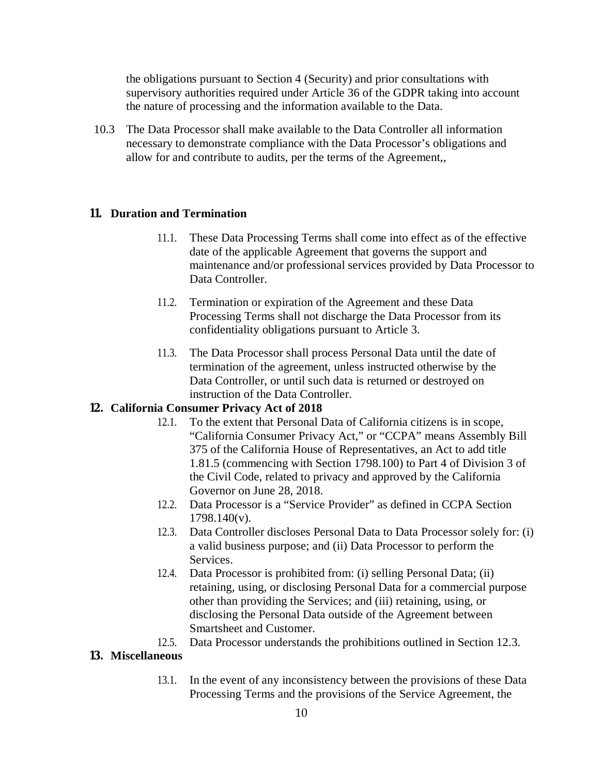the obligations pursuant to Section 4 (Security) and prior consultations with supervisory authorities required under Article 36 of the GDPR taking into account the nature of processing and the information available to the Data.

10.3 The Data Processor shall make available to the Data Controller all information necessary to demonstrate compliance with the Data Processor's obligations and allow for and contribute to audits, per the terms of the Agreement,,

## **11. Duration and Termination**

- 11.1. These Data Processing Terms shall come into effect as of the effective date of the applicable Agreement that governs the support and maintenance and/or professional services provided by Data Processor to Data Controller.
- 11.2. Termination or expiration of the Agreement and these Data Processing Terms shall not discharge the Data Processor from its confidentiality obligations pursuant to Article 3.
- 11.3. The Data Processor shall process Personal Data until the date of termination of the agreement, unless instructed otherwise by the Data Controller, or until such data is returned or destroyed on instruction of the Data Controller.

#### **12. California Consumer Privacy Act of 2018**

- 12.1. To the extent that Personal Data of California citizens is in scope, "California Consumer Privacy Act," or "CCPA" means Assembly Bill 375 of the California House of Representatives, an Act to add title 1.81.5 (commencing with Section 1798.100) to Part 4 of Division 3 of the Civil Code, related to privacy and approved by the California Governor on June 28, 2018.
- 12.2. Data Processor is a "Service Provider" as defined in CCPA Section 1798.140(v).
- 12.3. Data Controller discloses Personal Data to Data Processor solely for: (i) a valid business purpose; and (ii) Data Processor to perform the Services.
- 12.4. Data Processor is prohibited from: (i) selling Personal Data; (ii) retaining, using, or disclosing Personal Data for a commercial purpose other than providing the Services; and (iii) retaining, using, or disclosing the Personal Data outside of the Agreement between Smartsheet and Customer.
- 12.5. Data Processor understands the prohibitions outlined in Section 12.3.

### **13. Miscellaneous**

13.1. In the event of any inconsistency between the provisions of these Data Processing Terms and the provisions of the Service Agreement, the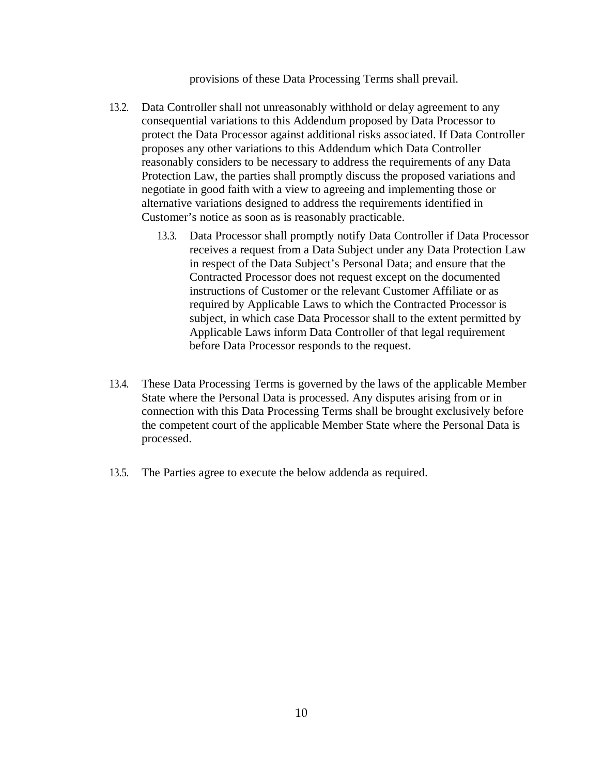provisions of these Data Processing Terms shall prevail.

- 13.2. Data Controller shall not unreasonably withhold or delay agreement to any consequential variations to this Addendum proposed by Data Processor to protect the Data Processor against additional risks associated. If Data Controller proposes any other variations to this Addendum which Data Controller reasonably considers to be necessary to address the requirements of any Data Protection Law, the parties shall promptly discuss the proposed variations and negotiate in good faith with a view to agreeing and implementing those or alternative variations designed to address the requirements identified in Customer's notice as soon as is reasonably practicable.
	- 13.3. Data Processor shall promptly notify Data Controller if Data Processor receives a request from a Data Subject under any Data Protection Law in respect of the Data Subject's Personal Data; and ensure that the Contracted Processor does not request except on the documented instructions of Customer or the relevant Customer Affiliate or as required by Applicable Laws to which the Contracted Processor is subject, in which case Data Processor shall to the extent permitted by Applicable Laws inform Data Controller of that legal requirement before Data Processor responds to the request.
- 13.4. These Data Processing Terms is governed by the laws of the applicable Member State where the Personal Data is processed. Any disputes arising from or in connection with this Data Processing Terms shall be brought exclusively before the competent court of the applicable Member State where the Personal Data is processed.
- 13.5. The Parties agree to execute the below addenda as required.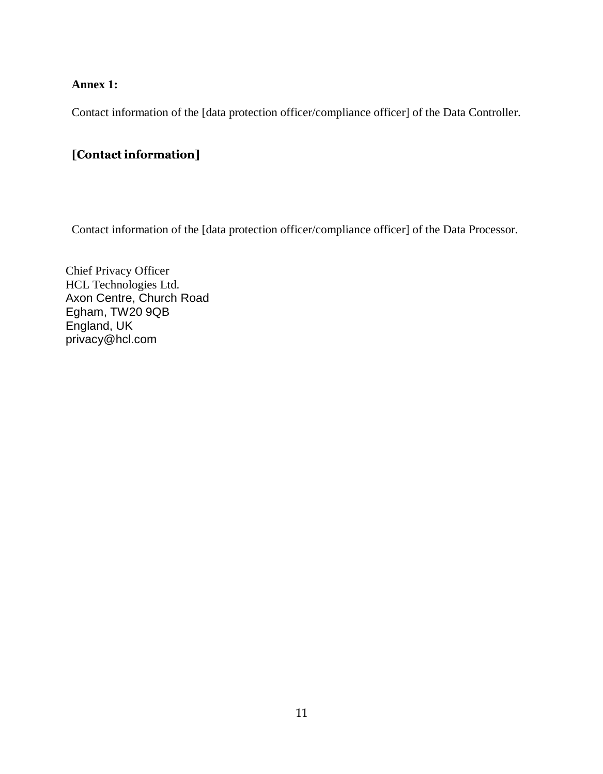## **Annex 1:**

Contact information of the [data protection officer/compliance officer] of the Data Controller.

# [Contact information]

Contact information of the [data protection officer/compliance officer] of the Data Processor.

Chief Privacy Officer HCL Technologies Ltd. Axon Centre, Church Road Egham, TW20 9QB England, UK privacy@hcl.com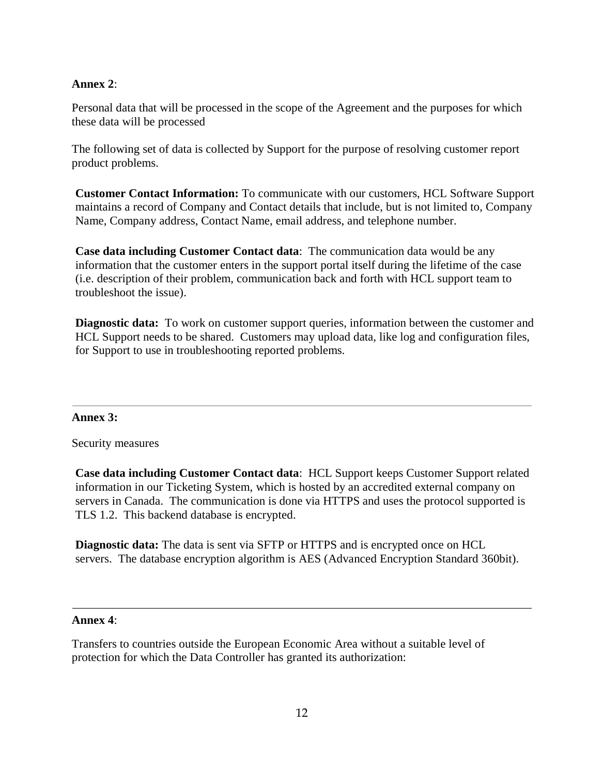## **Annex 2**:

Personal data that will be processed in the scope of the Agreement and the purposes for which these data will be processed

The following set of data is collected by Support for the purpose of resolving customer report product problems.

**Customer Contact Information:** To communicate with our customers, HCL Software Support maintains a record of Company and Contact details that include, but is not limited to, Company Name, Company address, Contact Name, email address, and telephone number.

**Case data including Customer Contact data**: The communication data would be any information that the customer enters in the support portal itself during the lifetime of the case (i.e. description of their problem, communication back and forth with HCL support team to troubleshoot the issue).

**Diagnostic data:** To work on customer support queries, information between the customer and HCL Support needs to be shared. Customers may upload data, like log and configuration files, for Support to use in troubleshooting reported problems.

## **Annex 3:**

Security measures

**Case data including Customer Contact data**: HCL Support keeps Customer Support related information in our Ticketing System, which is hosted by an accredited external company on servers in Canada. The communication is done via HTTPS and uses the protocol supported is TLS 1.2. This backend database is encrypted.

**Diagnostic data:** The data is sent via SFTP or HTTPS and is encrypted once on HCL servers. The database encryption algorithm is AES (Advanced Encryption Standard 360bit).

## **Annex 4**:

Transfers to countries outside the European Economic Area without a suitable level of protection for which the Data Controller has granted its authorization: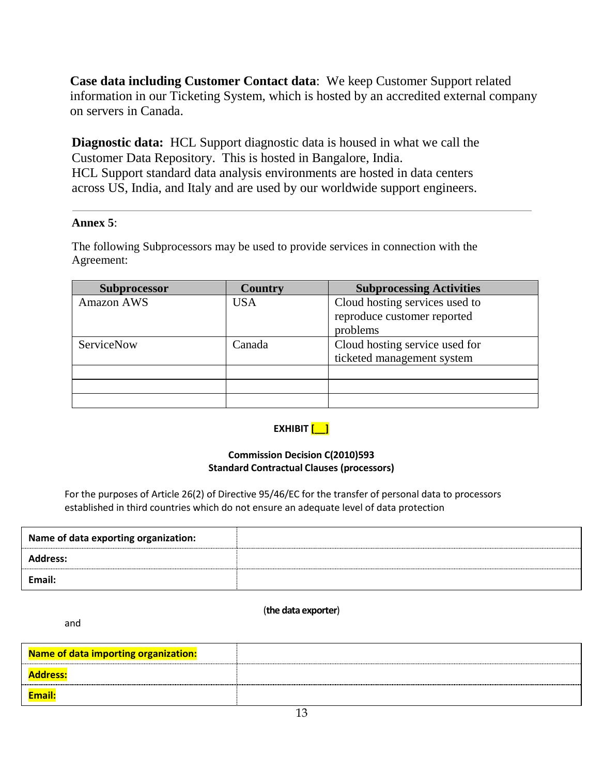**Case data including Customer Contact data**: We keep Customer Support related information in our Ticketing System, which is hosted by an accredited external company on servers in Canada.

**Diagnostic data:** HCL Support diagnostic data is housed in what we call the Customer Data Repository. This is hosted in Bangalore, India. HCL Support standard data analysis environments are hosted in data centers across US, India, and Italy and are used by our worldwide support engineers.

## **Annex 5**:

The following Subprocessors may be used to provide services in connection with the Agreement:

| <b>Subprocessor</b> | <b>Country</b> | <b>Subprocessing Activities</b> |  |
|---------------------|----------------|---------------------------------|--|
| Amazon AWS          | USA            | Cloud hosting services used to  |  |
|                     |                | reproduce customer reported     |  |
|                     |                | problems                        |  |
| <b>ServiceNow</b>   | Canada         | Cloud hosting service used for  |  |
|                     |                | ticketed management system      |  |
|                     |                |                                 |  |
|                     |                |                                 |  |
|                     |                |                                 |  |

## **EXHIBIT [\_\_]**

### **Commission Decision C(2010)593 Standard Contractual Clauses (processors)**

For the purposes of Article 26(2) of Directive 95/46/EC for the transfer of personal data to processors established in third countries which do not ensure an adequate level of data protection

| Name of data exporting organization: |  |
|--------------------------------------|--|
| Address:                             |  |
| Email:                               |  |

#### (**the data exporter**)

and

| Name of data importing organization: |  |
|--------------------------------------|--|
| <b>Address:</b>                      |  |
| <b>Email</b>                         |  |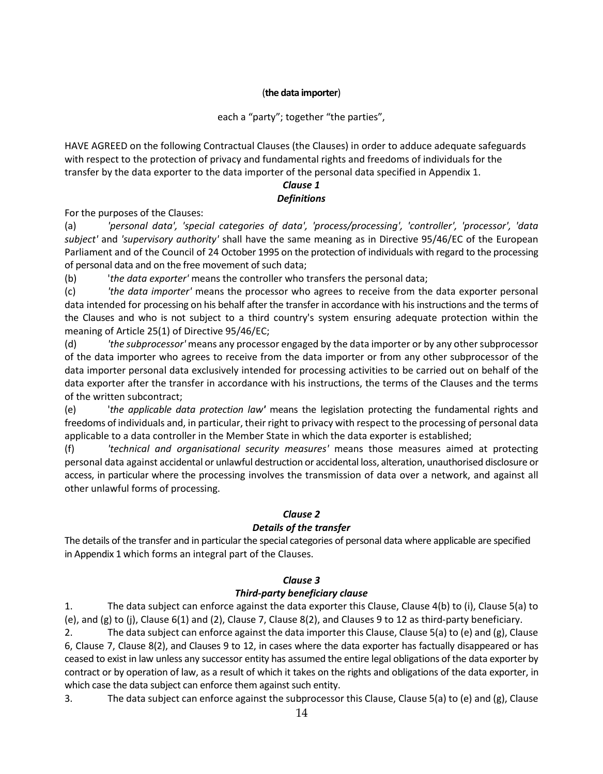### (**the data importer**)

### each a "party"; together "the parties",

HAVE AGREED on the following Contractual Clauses (the Clauses) in order to adduce adequate safeguards with respect to the protection of privacy and fundamental rights and freedoms of individuals for the transfer by the data exporter to the data importer of the personal data specified in Appendix 1.

### *Clause 1 Definitions*

For the purposes of the Clauses:

(a) *'personal data', 'special categories of data', 'process/processing', 'controller', 'processor', 'data subject'* and *'supervisory authority'* shall have the same meaning as in Directive 95/46/EC of the European Parliament and of the Council of 24 October 1995 on the protection of individuals with regard to the processing of personal data and on the free movement of such data;

(b) '*the data exporter'* means the controller who transfers the personal data;

(c) *'the data importer'* means the processor who agrees to receive from the data exporter personal data intended for processing on his behalf after the transfer in accordance with his instructions and the terms of the Clauses and who is not subject to a third country's system ensuring adequate protection within the meaning of Article 25(1) of Directive 95/46/EC;

(d) *'the subprocessor'* means any processor engaged by the data importer or by any other subprocessor of the data importer who agrees to receive from the data importer or from any other subprocessor of the data importer personal data exclusively intended for processing activities to be carried out on behalf of the data exporter after the transfer in accordance with his instructions, the terms of the Clauses and the terms of the written subcontract;

(e) '*the applicable data protection law'* means the legislation protecting the fundamental rights and freedoms of individuals and, in particular, their right to privacy with respect to the processing of personal data applicable to a data controller in the Member State in which the data exporter is established;

(f) *'technical and organisational security measures'* means those measures aimed at protecting personal data against accidental or unlawful destruction or accidental loss, alteration, unauthorised disclosure or access, in particular where the processing involves the transmission of data over a network, and against all other unlawful forms of processing.

## *Clause 2*

## *Details of the transfer*

The details of the transfer and in particular the special categories of personal data where applicable are specified in Appendix 1 which forms an integral part of the Clauses.

## *Clause 3*

### *Third-party beneficiary clause*

1. The data subject can enforce against the data exporter this Clause, Clause 4(b) to (i), Clause 5(a) to (e), and (g) to (j), Clause 6(1) and (2), Clause 7, Clause 8(2), and Clauses 9 to 12 as third-party beneficiary.

2. The data subject can enforce against the data importer this Clause, Clause 5(a) to (e) and (g), Clause 6, Clause 7, Clause 8(2), and Clauses 9 to 12, in cases where the data exporter has factually disappeared or has ceased to exist in law unless any successor entity has assumed the entire legal obligations of the data exporter by contract or by operation of law, as a result of which it takes on the rights and obligations of the data exporter, in which case the data subject can enforce them against such entity.

3. The data subject can enforce against the subprocessor this Clause, Clause 5(a) to (e) and (g), Clause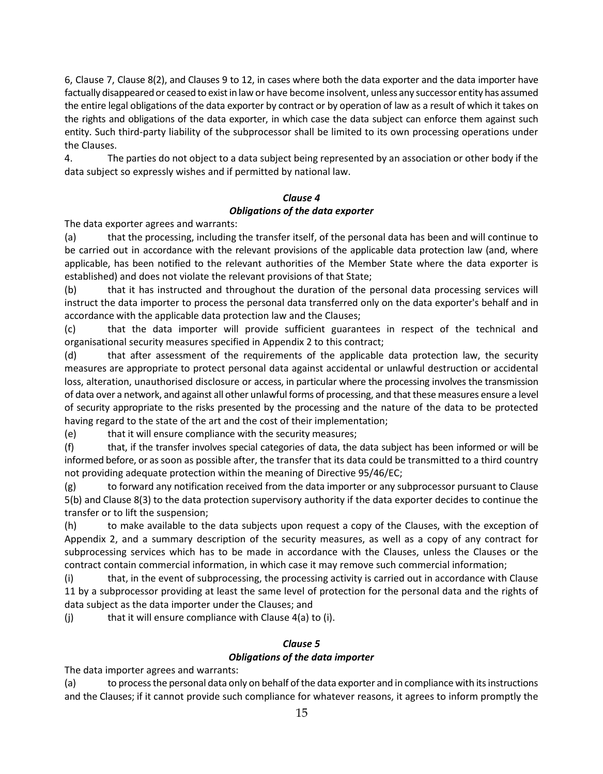6, Clause 7, Clause 8(2), and Clauses 9 to 12, in cases where both the data exporter and the data importer have factually disappeared or ceased to exist in law or have become insolvent, unless any successor entity has assumed the entire legal obligations of the data exporter by contract or by operation of law as a result of which it takes on the rights and obligations of the data exporter, in which case the data subject can enforce them against such entity. Such third-party liability of the subprocessor shall be limited to its own processing operations under the Clauses.

4. The parties do not object to a data subject being represented by an association or other body if the data subject so expressly wishes and if permitted by national law.

## *Clause 4 Obligations of the data exporter*

The data exporter agrees and warrants:

(a) that the processing, including the transfer itself, of the personal data has been and will continue to be carried out in accordance with the relevant provisions of the applicable data protection law (and, where applicable, has been notified to the relevant authorities of the Member State where the data exporter is established) and does not violate the relevant provisions of that State;

(b) that it has instructed and throughout the duration of the personal data processing services will instruct the data importer to process the personal data transferred only on the data exporter's behalf and in accordance with the applicable data protection law and the Clauses;

(c) that the data importer will provide sufficient guarantees in respect of the technical and organisational security measures specified in Appendix 2 to this contract;

(d) that after assessment of the requirements of the applicable data protection law, the security measures are appropriate to protect personal data against accidental or unlawful destruction or accidental loss, alteration, unauthorised disclosure or access, in particular where the processing involves the transmission of data over a network, and against all other unlawful forms of processing, and that these measures ensure a level of security appropriate to the risks presented by the processing and the nature of the data to be protected having regard to the state of the art and the cost of their implementation;

(e) that it will ensure compliance with the security measures;

(f) that, if the transfer involves special categories of data, the data subject has been informed or will be informed before, or as soon as possible after, the transfer that its data could be transmitted to a third country not providing adequate protection within the meaning of Directive 95/46/EC;

(g) to forward any notification received from the data importer or any subprocessor pursuant to Clause 5(b) and Clause 8(3) to the data protection supervisory authority if the data exporter decides to continue the transfer or to lift the suspension;

(h) to make available to the data subjects upon request a copy of the Clauses, with the exception of Appendix 2, and a summary description of the security measures, as well as a copy of any contract for subprocessing services which has to be made in accordance with the Clauses, unless the Clauses or the contract contain commercial information, in which case it may remove such commercial information;

(i) that, in the event of subprocessing, the processing activity is carried out in accordance with Clause 11 by a subprocessor providing at least the same level of protection for the personal data and the rights of data subject as the data importer under the Clauses; and

 $(i)$  that it will ensure compliance with Clause  $4(a)$  to  $(i)$ .

### *Clause 5 Obligations of the data importer*

The data importer agrees and warrants:

(a) to process the personal data only on behalf of the data exporter and in compliance with its instructions and the Clauses; if it cannot provide such compliance for whatever reasons, it agrees to inform promptly the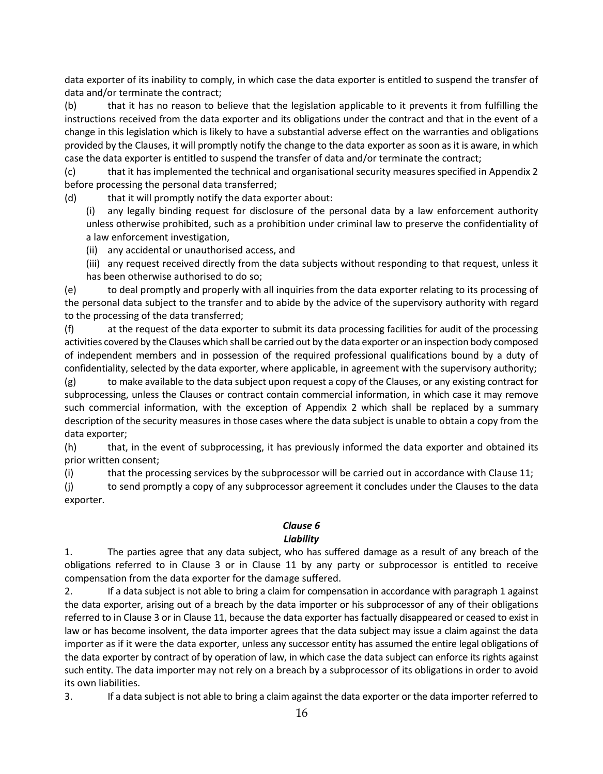data exporter of its inability to comply, in which case the data exporter is entitled to suspend the transfer of data and/or terminate the contract;

(b) that it has no reason to believe that the legislation applicable to it prevents it from fulfilling the instructions received from the data exporter and its obligations under the contract and that in the event of a change in this legislation which is likely to have a substantial adverse effect on the warranties and obligations provided by the Clauses, it will promptly notify the change to the data exporter as soon as it is aware, in which case the data exporter is entitled to suspend the transfer of data and/or terminate the contract;

(c) that it has implemented the technical and organisational security measures specified in Appendix 2 before processing the personal data transferred;

(d) that it will promptly notify the data exporter about:

any legally binding request for disclosure of the personal data by a law enforcement authority unless otherwise prohibited, such as a prohibition under criminal law to preserve the confidentiality of a law enforcement investigation,

(ii) any accidental or unauthorised access, and

(iii) any request received directly from the data subjects without responding to that request, unless it has been otherwise authorised to do so;

(e) to deal promptly and properly with all inquiries from the data exporter relating to its processing of the personal data subject to the transfer and to abide by the advice of the supervisory authority with regard to the processing of the data transferred;

(f) at the request of the data exporter to submit its data processing facilities for audit of the processing activities covered by the Clauses which shall be carried out by the data exporter or an inspection body composed of independent members and in possession of the required professional qualifications bound by a duty of confidentiality, selected by the data exporter, where applicable, in agreement with the supervisory authority;

 $(g)$  to make available to the data subject upon request a copy of the Clauses, or any existing contract for subprocessing, unless the Clauses or contract contain commercial information, in which case it may remove such commercial information, with the exception of Appendix 2 which shall be replaced by a summary description of the security measures in those cases where the data subject is unable to obtain a copy from the data exporter;

(h) that, in the event of subprocessing, it has previously informed the data exporter and obtained its prior written consent;

(i) that the processing services by the subprocessor will be carried out in accordance with Clause 11;

(j) to send promptly a copy of any subprocessor agreement it concludes under the Clauses to the data exporter.

#### *Clause 6 Liability*

1. The parties agree that any data subject, who has suffered damage as a result of any breach of the obligations referred to in Clause 3 or in Clause 11 by any party or subprocessor is entitled to receive compensation from the data exporter for the damage suffered.

2. If a data subject is not able to bring a claim for compensation in accordance with paragraph 1 against the data exporter, arising out of a breach by the data importer or his subprocessor of any of their obligations referred to in Clause 3 or in Clause 11, because the data exporter has factually disappeared or ceased to exist in law or has become insolvent, the data importer agrees that the data subject may issue a claim against the data importer as if it were the data exporter, unless any successor entity has assumed the entire legal obligations of the data exporter by contract of by operation of law, in which case the data subject can enforce its rights against such entity. The data importer may not rely on a breach by a subprocessor of its obligations in order to avoid its own liabilities.

3. If a data subject is not able to bring a claim against the data exporter or the data importer referred to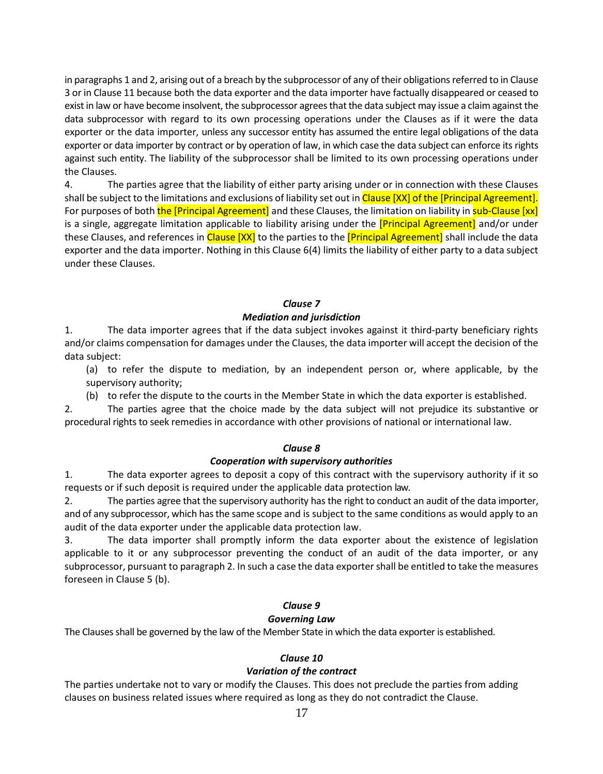in paragraphs 1 and 2, arising out of a breach by the subprocessor of any of their obligations referred to in Clause 3 or in Clause 11 because both the data exporter and the data importer have factually disappeared or ceased to exist in law or have become insolvent, the subprocessor agrees that the data subject may issue a claim against the data subprocessor with regard to its own processing operations under the Clauses as if it were the data exporter or the data importer, unless any successor entity has assumed the entire legal obligations of the data exporter or data importer by contract or by operation of law, in which case the data subject can enforce its rights against such entity. The liability of the subprocessor shall be limited to its own processing operations under the Clauses.

4. The parties agree that the liability of either party arising under or in connection with these Clauses shall be subject to the limitations and exclusions of liability set out in Clause [XX] of the [Principal Agreement]. For purposes of both the [Principal Agreement] and these Clauses, the limitation on liability in sub-Clause [xx] is a single, aggregate limitation applicable to liability arising under the *[Principal Agreement]* and/or under these Clauses, and references in Clause [XX] to the parties to the *[Principal Agreement]* shall include the data exporter and the data importer. Nothing in this Clause 6(4) limits the liability of either party to a data subject under these Clauses.

#### *Clause 7*

#### *Mediation and jurisdiction*

1. The data importer agrees that if the data subject invokes against it third-party beneficiary rights and/or claims compensation for damages under the Clauses, the data importer will accept the decision of the data subject:

(a) to refer the dispute to mediation, by an independent person or, where applicable, by the supervisory authority;

(b) to refer the dispute to the courts in the Member State in which the data exporter is established.

2. The parties agree that the choice made by the data subject will not prejudice its substantive or procedural rights to seek remedies in accordance with other provisions of national or international law.

#### *Clause 8*

#### *Cooperation with supervisory authorities*

1. The data exporter agrees to deposit a copy of this contract with the supervisory authority if it so requests or if such deposit is required under the applicable data protection law.

2. The parties agree that the supervisory authority has the right to conduct an audit of the data importer, and of any subprocessor, which has the same scope and is subject to the same conditions as would apply to an audit of the data exporter under the applicable data protection law.

3. The data importer shall promptly inform the data exporter about the existence of legislation applicable to it or any subprocessor preventing the conduct of an audit of the data importer, or any subprocessor, pursuant to paragraph 2. In such a case the data exporter shall be entitled to take the measures foreseen in Clause 5 (b).

#### *Clause 9*

#### *Governing Law*

The Clauses shall be governed by the law of the Member State in which the data exporter is established.

#### *Clause 10*

#### *Variation of the contract*

The parties undertake not to vary or modify the Clauses. This does not preclude the parties from adding clauses on business related issues where required as long as they do not contradict the Clause.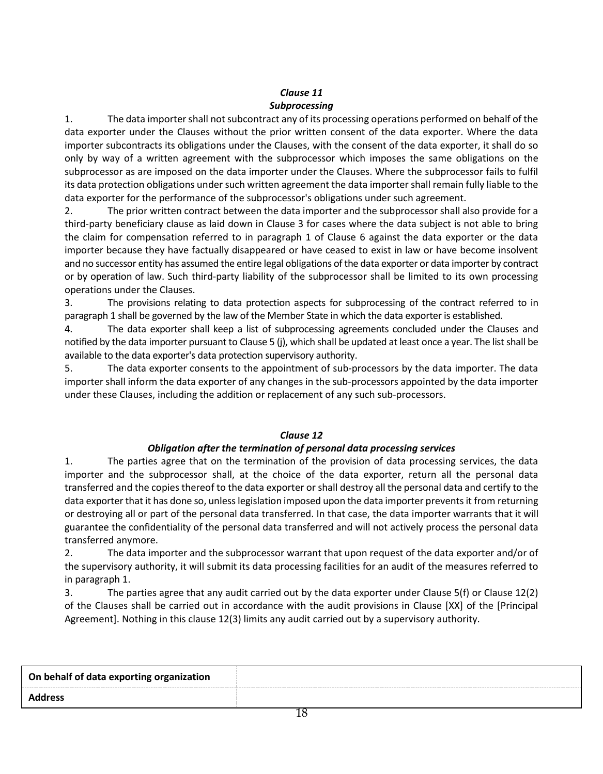## *Clause 11 Subprocessing*

1. The data importer shall not subcontract any of its processing operations performed on behalf of the data exporter under the Clauses without the prior written consent of the data exporter. Where the data importer subcontracts its obligations under the Clauses, with the consent of the data exporter, it shall do so only by way of a written agreement with the subprocessor which imposes the same obligations on the subprocessor as are imposed on the data importer under the Clauses. Where the subprocessor fails to fulfil its data protection obligations under such written agreement the data importer shall remain fully liable to the data exporter for the performance of the subprocessor's obligations under such agreement.

2. The prior written contract between the data importer and the subprocessor shall also provide for a third-party beneficiary clause as laid down in Clause 3 for cases where the data subject is not able to bring the claim for compensation referred to in paragraph 1 of Clause 6 against the data exporter or the data importer because they have factually disappeared or have ceased to exist in law or have become insolvent and no successor entity has assumed the entire legal obligations of the data exporter or data importer by contract or by operation of law. Such third-party liability of the subprocessor shall be limited to its own processing operations under the Clauses.

3. The provisions relating to data protection aspects for subprocessing of the contract referred to in paragraph 1 shall be governed by the law of the Member State in which the data exporter is established.

4. The data exporter shall keep a list of subprocessing agreements concluded under the Clauses and notified by the data importer pursuant to Clause 5 (j), which shall be updated at least once a year. The list shall be available to the data exporter's data protection supervisory authority.

5. The data exporter consents to the appointment of sub-processors by the data importer. The data importer shall inform the data exporter of any changes in the sub-processors appointed by the data importer under these Clauses, including the addition or replacement of any such sub-processors.

## *Clause 12*

## *Obligation after the termination of personal data processing services*

1. The parties agree that on the termination of the provision of data processing services, the data importer and the subprocessor shall, at the choice of the data exporter, return all the personal data transferred and the copies thereof to the data exporter or shall destroy all the personal data and certify to the data exporter that it has done so, unless legislation imposed upon the data importer prevents it from returning or destroying all or part of the personal data transferred. In that case, the data importer warrants that it will guarantee the confidentiality of the personal data transferred and will not actively process the personal data transferred anymore.

2. The data importer and the subprocessor warrant that upon request of the data exporter and/or of the supervisory authority, it will submit its data processing facilities for an audit of the measures referred to in paragraph 1.

3. The parties agree that any audit carried out by the data exporter under Clause 5(f) or Clause 12(2) of the Clauses shall be carried out in accordance with the audit provisions in Clause [XX] of the [Principal Agreement]. Nothing in this clause 12(3) limits any audit carried out by a supervisory authority.

| On behalf of data exporting organization |               |
|------------------------------------------|---------------|
| <b>Address</b>                           |               |
|                                          | $\sim$ $\sim$ |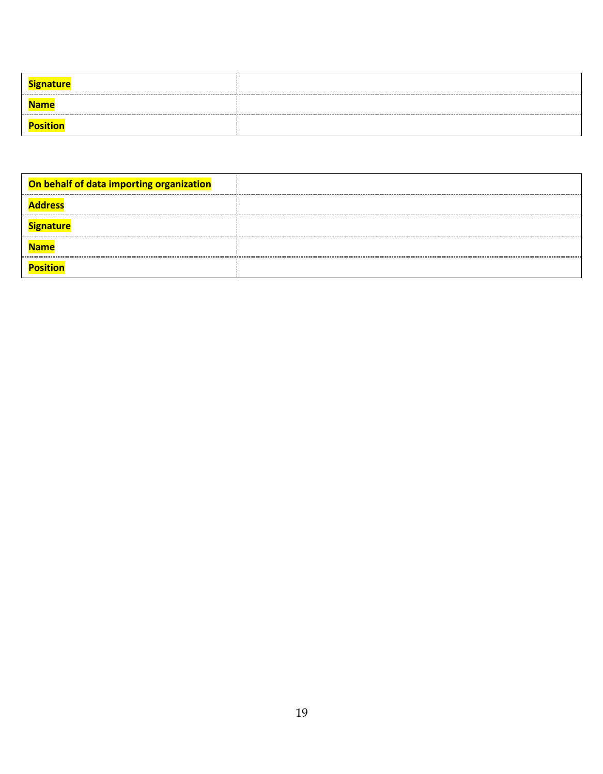| <b>Signature</b> |  |
|------------------|--|
| <b>Name</b>      |  |
| <b>Position</b>  |  |

| On behalf of data importing organization |  |
|------------------------------------------|--|
| <b>Address</b>                           |  |
| <b>Signature</b>                         |  |
| <b>Name</b>                              |  |
| <b>Position</b>                          |  |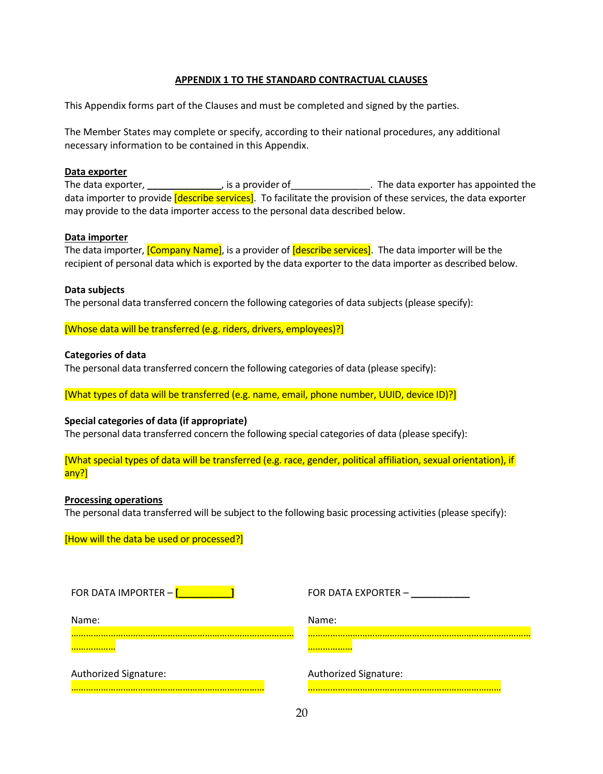#### **APPENDIX 1 TO THE STANDARD CONTRACTUAL CLAUSES**

This Appendix forms part of the Clauses and must be completed and signed by the parties.

The Member States may complete or specify, according to their national procedures, any additional necessary information to be contained in this Appendix.

#### **Data exporter**

The data exporter, **\_\_\_\_\_\_\_\_\_\_\_\_\_\_**, is a provider of\_\_\_\_\_\_\_\_\_\_\_\_\_\_\_. The data exporter has appointed the data importer to provide [describe services]. To facilitate the provision of these services, the data exporter may provide to the data importer access to the personal data described below.

#### **Data importer**

The data importer, *[Company Name]*, is a provider of *[describe services]*. The data importer will be the recipient of personal data which is exported by the data exporter to the data importer as described below.

#### **Data subjects**

The personal data transferred concern the following categories of data subjects (please specify):

[Whose data will be transferred (e.g. riders, drivers, employees)?]

#### **Categories of data**

The personal data transferred concern the following categories of data (please specify):

[What types of data will be transferred (e.g. name, email, phone number, UUID, device ID)?]

#### **Special categories of data (if appropriate)**

The personal data transferred concern the following special categories of data (please specify):

[What special types of data will be transferred (e.g. race, gender, political affiliation, sexual orientation), if any?]

#### **Processing operations**

The personal data transferred will be subject to the following basic processing activities (please specify):

[How will the data be used or processed?]

| FOR DATA IMPORTER - [ | FOR DATA EXPORTER -   |
|-----------------------|-----------------------|
| Name:                 | Name:                 |
|                       |                       |
| Authorized Signature: | Authorized Signature: |
|                       |                       |

20